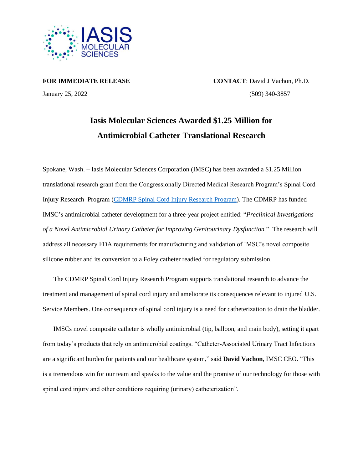

**FOR IMMEDIATE RELEASE CONTACT**: David J Vachon, Ph.D. January 25, 2022 (509) 340-3857

## **Iasis Molecular Sciences Awarded \$1.25 Million for Antimicrobial Catheter Translational Research**

Spokane, Wash. – Iasis Molecular Sciences Corporation (IMSC) has been awarded a \$1.25 Million translational research grant from the Congressionally Directed Medical Research Program's Spinal Cord Injury Research Program [\(CDMRP Spinal Cord Injury Research Program\)](https://cdmrp.army.mil/scirp/default). The CDMRP has funded IMSC's antimicrobial catheter development for a three-year project entitled: "*Preclinical Investigations of a Novel Antimicrobial Urinary Catheter for Improving Genitourinary Dysfunction.*" The research will address all necessary FDA requirements for manufacturing and validation of IMSC's novel composite silicone rubber and its conversion to a Foley catheter readied for regulatory submission.

The CDMRP Spinal Cord Injury Research Program supports translational research to advance the treatment and management of spinal cord injury and ameliorate its consequences relevant to injured U.S. Service Members. One consequence of spinal cord injury is a need for catheterization to drain the bladder.

IMSCs novel composite catheter is wholly antimicrobial (tip, balloon, and main body), setting it apart from today's products that rely on antimicrobial coatings. "Catheter-Associated Urinary Tract Infections are a significant burden for patients and our healthcare system," said **David Vachon**, IMSC CEO. "This is a tremendous win for our team and speaks to the value and the promise of our technology for those with spinal cord injury and other conditions requiring (urinary) catheterization".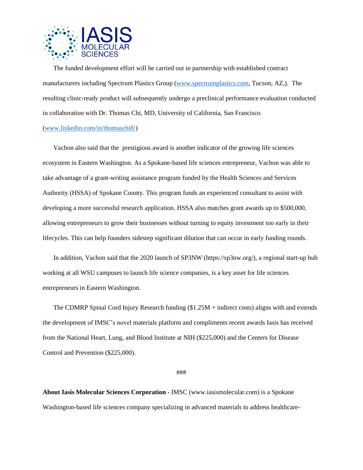

The funded development effort will be carried out in partnership with established contract manufacturers including Spectrum Plastics Group [\(www.spectrumplastics.com,](http://www.spectrumplastics.com/) Tucson, AZ,). The resulting clinic-ready product will subsequently undergo a preclinical performance evaluation conducted in collaboration with Dr. Thomas Chi, MD, University of California, San Francisco [\(www.linkedin.com/in/thomaschi8/\)](http://www.linkedin.com/in/thomaschi8/)

Vachon also said that the prestigious award is another indicator of the growing life sciences ecosystem in Eastern Washington. As a Spokane-based life sciences entrepreneur, Vachon was able to take advantage of a grant-writing assistance program funded by the Health Sciences and Services Authority (HSSA) of Spokane County. This program funds an experienced consultant to assist with developing a more successful research application. HSSA also matches grant awards up to \$500,000, allowing entrepreneurs to grow their businesses without turning to equity investment too early in their lifecycles. This can help founders sidestep significant dilution that can occur in early funding rounds.

In addition, Vachon said that the 2020 launch of SP3NW (https://sp3nw.org/), a regional start-up hub working at all WSU campuses to launch life science companies, is a key asset for life sciences entrepreneurs in Eastern Washington.

The CDMRP Spinal Cord Injury Research funding (\$1.25M + indirect costs) aligns with and extends the development of IMSC's novel materials platform and compliments recent awards Iasis has received from the National Heart, Lung, and Blood Institute at NIH (\$225,000) and the Centers for Disease Control and Prevention (\$225,000).

###

**About Iasis Molecular Sciences Corporation** - IMSC [\(www.iasismolecular.com\)](http://www.iasismolecular.com/) is a Spokane Washington-based life sciences company specializing in advanced materials to address healthcare-